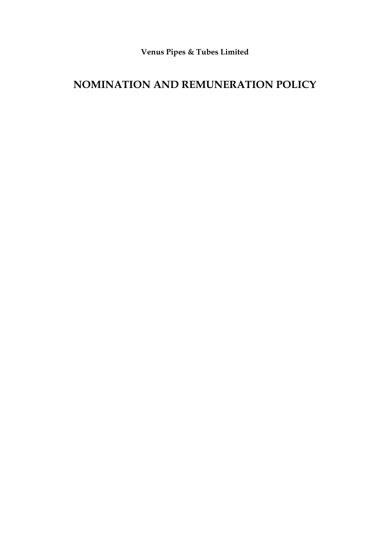**Venus Pipes & Tubes Limited**

# **NOMINATION AND REMUNERATION POLICY**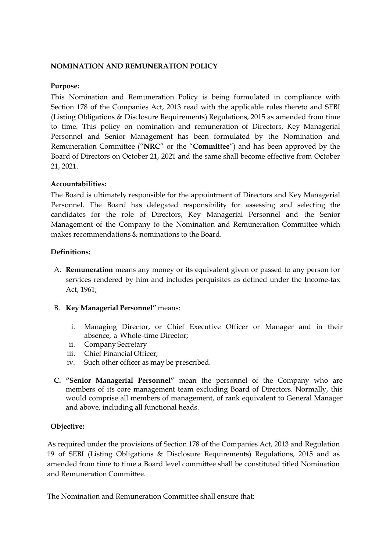## **NOMINATION AND REMUNERATION POLICY**

## **Purpose:**

This Nomination and Remuneration Policy is being formulated in compliance with Section 178 of the Companies Act, 2013 read with the applicable rules thereto and SEBI (Listing Obligations & Disclosure Requirements) Regulations, 2015 as amended from time to time. This policy on nomination and remuneration of Directors, Key Managerial Personnel and Senior Management has been formulated by the Nomination and Remuneration Committee ("**NRC**" or the "**Committee**") and has been approved by the Board of Directors on October 21, 2021 and the same shall become effective from October 21, 2021.

## **Accountabilities:**

The Board is ultimately responsible for the appointment of Directors and Key Managerial Personnel. The Board has delegated responsibility for assessing and selecting the candidates for the role of Directors, Key Managerial Personnel and the Senior Management of the Company to the Nomination and Remuneration Committee which makes recommendations & nominations to the Board.

## **Definitions:**

- A. **Remuneration** means any money or its equivalent given or passed to any person for services rendered by him and includes perquisites as defined under the Income-tax Act, 1961;
- B. **Key Managerial Personnel"** means:
	- i. Managing Director, or Chief Executive Officer or Manager and in their absence, a Whole-time Director;
	- ii. Company Secretary
	- iii. Chief Financial Officer;
	- iv. Such other officer as may be prescribed.
- **C. "Senior Managerial Personnel"** mean the personnel of the Company who are members of its core management team excluding Board of Directors. Normally, this would comprise all members of management, of rank equivalent to General Manager and above, including all functional heads.

## **Objective:**

As required under the provisions of Section 178 of the Companies Act, 2013 and Regulation 19 of SEBI (Listing Obligations & Disclosure Requirements) Regulations, 2015 and as amended from time to time a Board level committee shall be constituted titled Nomination and Remuneration Committee.

The Nomination and Remuneration Committee shall ensure that: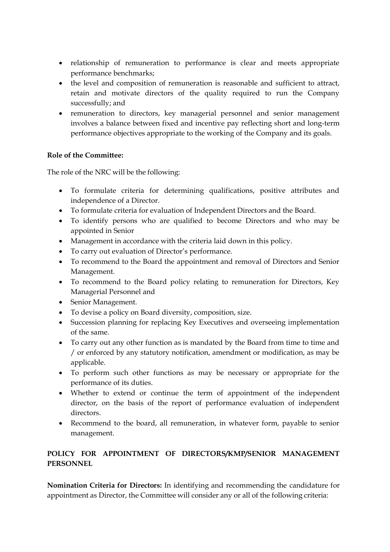- relationship of remuneration to performance is clear and meets appropriate performance benchmarks;
- the level and composition of remuneration is reasonable and sufficient to attract, retain and motivate directors of the quality required to run the Company successfully; and
- remuneration to directors, key managerial personnel and senior management involves a balance between fixed and incentive pay reflecting short and long-term performance objectives appropriate to the working of the Company and its goals.

# **Role of the Committee:**

The role of the NRC will be the following:

- To formulate criteria for determining qualifications, positive attributes and independence of a Director.
- To formulate criteria for evaluation of Independent Directors and the Board.
- To identify persons who are qualified to become Directors and who may be appointed in Senior
- Management in accordance with the criteria laid down in this policy.
- To carry out evaluation of Director's performance.
- To recommend to the Board the appointment and removal of Directors and Senior Management.
- To recommend to the Board policy relating to remuneration for Directors, Key Managerial Personnel and
- Senior Management.
- To devise a policy on Board diversity, composition, size.
- Succession planning for replacing Key Executives and overseeing implementation of the same.
- To carry out any other function as is mandated by the Board from time to time and / or enforced by any statutory notification, amendment or modification, as may be applicable.
- To perform such other functions as may be necessary or appropriate for the performance of its duties.
- Whether to extend or continue the term of appointment of the independent director, on the basis of the report of performance evaluation of independent directors.
- Recommend to the board, all remuneration, in whatever form, payable to senior management.

# **POLICY FOR APPOINTMENT OF DIRECTORS/KMP/SENIOR MANAGEMENT PERSONNEL**

**Nomination Criteria for Directors:** In identifying and recommending the candidature for appointment as Director, the Committee will consider any or all of the following criteria: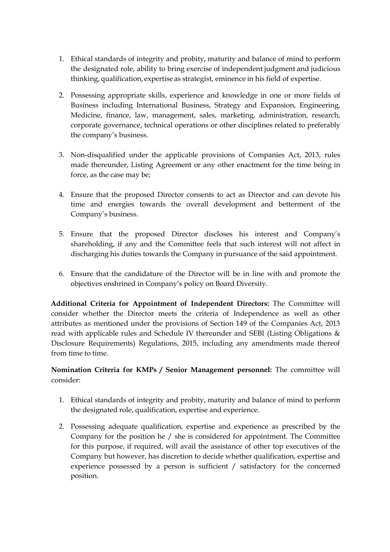- 1. Ethical standards of integrity and probity, maturity and balance of mind to perform the designated role, ability to bring exercise of independent judgment and judicious thinking, qualification, expertise as strategist, eminence in his field of expertise.
- 2. Possessing appropriate skills, experience and knowledge in one or more fields of Business including International Business, Strategy and Expansion, Engineering, Medicine, finance, law, management, sales, marketing, administration, research, corporate governance, technical operations or other disciplines related to preferably the company's business.
- 3. Non-disqualified under the applicable provisions of Companies Act, 2013, rules made thereunder, Listing Agreement or any other enactment for the time being in force, as the case may be;
- 4. Ensure that the proposed Director consents to act as Director and can devote his time and energies towards the overall development and betterment of the Company's business.
- 5. Ensure that the proposed Director discloses his interest and Company's shareholding, if any and the Committee feels that such interest will not affect in discharging his duties towards the Company in pursuance of the said appointment.
- 6. Ensure that the candidature of the Director will be in line with and promote the objectives enshrined in Company's policy on Board Diversity.

**Additional Criteria for Appointment of Independent Directors:** The Committee will consider whether the Director meets the criteria of Independence as well as other attributes as mentioned under the provisions of Section 149 of the Companies Act, 2013 read with applicable rules and Schedule IV thereunder and SEBI (Listing Obligations & Disclosure Requirements) Regulations, 2015, including any amendments made thereof from time to time.

# **Nomination Criteria for KMPs / Senior Management personnel:** The committee will consider:

- 1. Ethical standards of integrity and probity, maturity and balance of mind to perform the designated role, qualification, expertise and experience.
- 2. Possessing adequate qualification, expertise and experience as prescribed by the Company for the position he / she is considered for appointment. The Committee for this purpose, if required, will avail the assistance of other top executives of the Company but however, has discretion to decide whether qualification, expertise and experience possessed by a person is sufficient / satisfactory for the concerned position.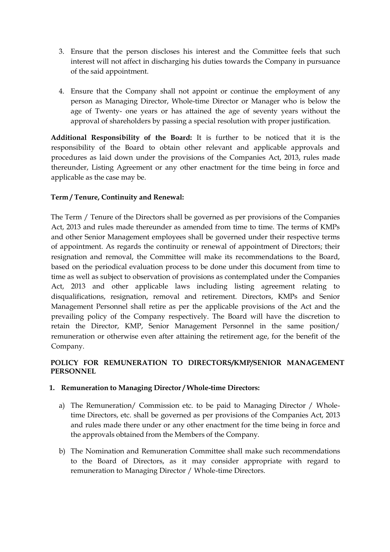- 3. Ensure that the person discloses his interest and the Committee feels that such interest will not affect in discharging his duties towards the Company in pursuance of the said appointment.
- 4. Ensure that the Company shall not appoint or continue the employment of any person as Managing Director, Whole-time Director or Manager who is below the age of Twenty- one years or has attained the age of seventy years without the approval of shareholders by passing a special resolution with proper justification.

**Additional Responsibility of the Board:** It is further to be noticed that it is the responsibility of the Board to obtain other relevant and applicable approvals and procedures as laid down under the provisions of the Companies Act, 2013, rules made thereunder, Listing Agreement or any other enactment for the time being in force and applicable as the case may be.

# **Term / Tenure, Continuity and Renewal:**

The Term / Tenure of the Directors shall be governed as per provisions of the Companies Act, 2013 and rules made thereunder as amended from time to time. The terms of KMPs and other Senior Management employees shall be governed under their respective terms of appointment. As regards the continuity or renewal of appointment of Directors; their resignation and removal, the Committee will make its recommendations to the Board, based on the periodical evaluation process to be done under this document from time to time as well as subject to observation of provisions as contemplated under the Companies Act, 2013 and other applicable laws including listing agreement relating to disqualifications, resignation, removal and retirement. Directors, KMPs and Senior Management Personnel shall retire as per the applicable provisions of the Act and the prevailing policy of the Company respectively. The Board will have the discretion to retain the Director, KMP, Senior Management Personnel in the same position/ remuneration or otherwise even after attaining the retirement age, for the benefit of the Company.

# **POLICY FOR REMUNERATION TO DIRECTORS/KMP/SENIOR MANAGEMENT PERSONNEL**

## **1. Remuneration to Managing Director / Whole-time Directors:**

- a) The Remuneration/ Commission etc. to be paid to Managing Director / Wholetime Directors, etc. shall be governed as per provisions of the Companies Act, 2013 and rules made there under or any other enactment for the time being in force and the approvals obtained from the Members of the Company.
- b) The Nomination and Remuneration Committee shall make such recommendations to the Board of Directors, as it may consider appropriate with regard to remuneration to Managing Director / Whole-time Directors.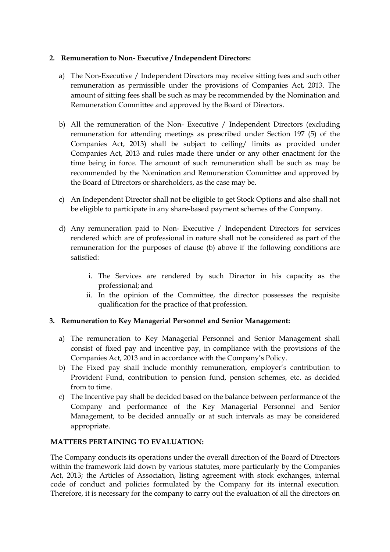## **2. Remuneration to Non- Executive / Independent Directors:**

- a) The Non-Executive / Independent Directors may receive sitting fees and such other remuneration as permissible under the provisions of Companies Act, 2013. The amount of sitting fees shall be such as may be recommended by the Nomination and Remuneration Committee and approved by the Board of Directors.
- b) All the remuneration of the Non- Executive / Independent Directors (excluding remuneration for attending meetings as prescribed under Section 197 (5) of the Companies Act, 2013) shall be subject to ceiling/ limits as provided under Companies Act, 2013 and rules made there under or any other enactment for the time being in force. The amount of such remuneration shall be such as may be recommended by the Nomination and Remuneration Committee and approved by the Board of Directors or shareholders, as the case may be.
- c) An Independent Director shall not be eligible to get Stock Options and also shall not be eligible to participate in any share-based payment schemes of the Company.
- d) Any remuneration paid to Non- Executive / Independent Directors for services rendered which are of professional in nature shall not be considered as part of the remuneration for the purposes of clause (b) above if the following conditions are satisfied:
	- i. The Services are rendered by such Director in his capacity as the professional; and
	- ii. In the opinion of the Committee, the director possesses the requisite qualification for the practice of that profession.

## **3. Remuneration to Key Managerial Personnel and Senior Management:**

- a) The remuneration to Key Managerial Personnel and Senior Management shall consist of fixed pay and incentive pay, in compliance with the provisions of the Companies Act, 2013 and in accordance with the Company's Policy.
- b) The Fixed pay shall include monthly remuneration, employer's contribution to Provident Fund, contribution to pension fund, pension schemes, etc. as decided from to time.
- c) The Incentive pay shall be decided based on the balance between performance of the Company and performance of the Key Managerial Personnel and Senior Management, to be decided annually or at such intervals as may be considered appropriate.

## **MATTERS PERTAINING TO EVALUATION:**

The Company conducts its operations under the overall direction of the Board of Directors within the framework laid down by various statutes, more particularly by the Companies Act, 2013; the Articles of Association, listing agreement with stock exchanges, internal code of conduct and policies formulated by the Company for its internal execution. Therefore, it is necessary for the company to carry out the evaluation of all the directors on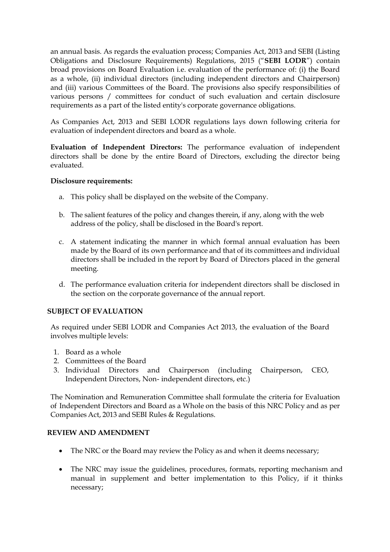an annual basis. As regards the evaluation process; Companies Act, 2013 and SEBI (Listing Obligations and Disclosure Requirements) Regulations, 2015 ("**SEBI LODR**") contain broad provisions on Board Evaluation i.e. evaluation of the performance of: (i) the Board as a whole, (ii) individual directors (including independent directors and Chairperson) and (iii) various Committees of the Board. The provisions also specify responsibilities of various persons / committees for conduct of such evaluation and certain disclosure requirements as a part of the listed entity's corporate governance obligations.

As Companies Act, 2013 and SEBI LODR regulations lays down following criteria for evaluation of independent directors and board as a whole.

**Evaluation of Independent Directors:** The performance evaluation of independent directors shall be done by the entire Board of Directors, excluding the director being evaluated.

## **Disclosure requirements:**

- a. This policy shall be displayed on the website of the Company.
- b. The salient features of the policy and changes therein, if any, along with the web address of the policy, shall be disclosed in the Board's report.
- c. A statement indicating the manner in which formal annual evaluation has been made by the Board of its own performance and that of its committees and individual directors shall be included in the report by Board of Directors placed in the general meeting.
- d. The performance evaluation criteria for independent directors shall be disclosed in the section on the corporate governance of the annual report.

## **SUBJECT OF EVALUATION**

As required under SEBI LODR and Companies Act 2013, the evaluation of the Board involves multiple levels:

- 1. Board as a whole
- 2. Committees of the Board
- 3. Individual Directors and Chairperson (including Chairperson, CEO, Independent Directors, Non- independent directors, etc.)

The Nomination and Remuneration Committee shall formulate the criteria for Evaluation of Independent Directors and Board as a Whole on the basis of this NRC Policy and as per Companies Act, 2013 and SEBI Rules & Regulations.

## **REVIEW AND AMENDMENT**

- The NRC or the Board may review the Policy as and when it deems necessary;
- The NRC may issue the guidelines, procedures, formats, reporting mechanism and manual in supplement and better implementation to this Policy, if it thinks necessary;